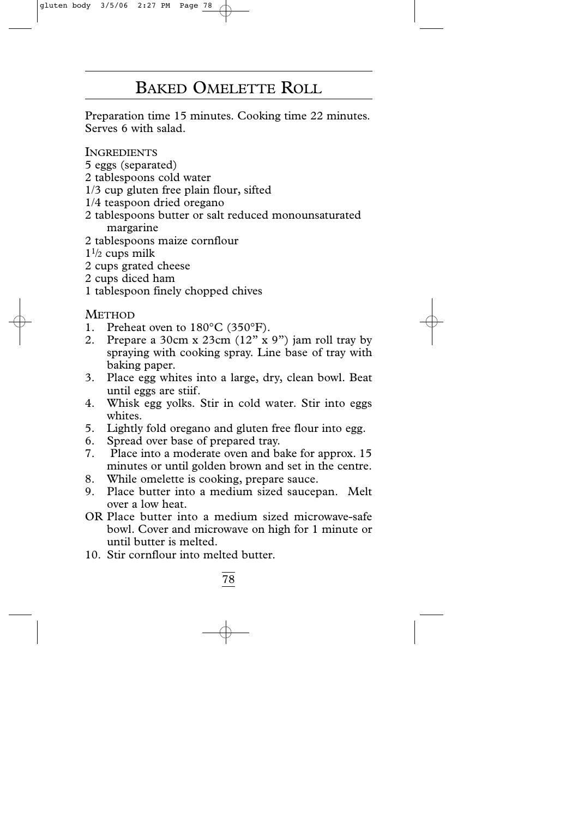## BAKED OMELETTE ROLL

Preparation time 15 minutes. Cooking time 22 minutes. Serves 6 with salad.

**INGREDIENTS** 

- 5 eggs (separated)
- 2 tablespoons cold water
- 1/3 cup gluten free plain flour, sifted
- 1/4 teaspoon dried oregano
- 2 tablespoons butter or salt reduced monounsaturated margarine
- 2 tablespoons maize cornflour
- $1\frac{1}{2}$  cups milk
- 2 cups grated cheese
- 2 cups diced ham
- 1 tablespoon finely chopped chives

- 1. Preheat oven to 180°C (350°F).
- 2. Prepare a 30cm x 23cm (12" x 9") jam roll tray by spraying with cooking spray. Line base of tray with baking paper.
- 3. Place egg whites into a large, dry, clean bowl. Beat until eggs are stiif.
- 4. Whisk egg yolks. Stir in cold water. Stir into eggs whites.
- 5. Lightly fold oregano and gluten free flour into egg.
- 6. Spread over base of prepared tray.
- 7. Place into a moderate oven and bake for approx. 15 minutes or until golden brown and set in the centre.
- 8. While omelette is cooking, prepare sauce.
- 9. Place butter into a medium sized saucepan. Melt over a low heat.
- OR Place butter into a medium sized microwave-safe bowl. Cover and microwave on high for 1 minute or until butter is melted.
- 10. Stir cornflour into melted butter.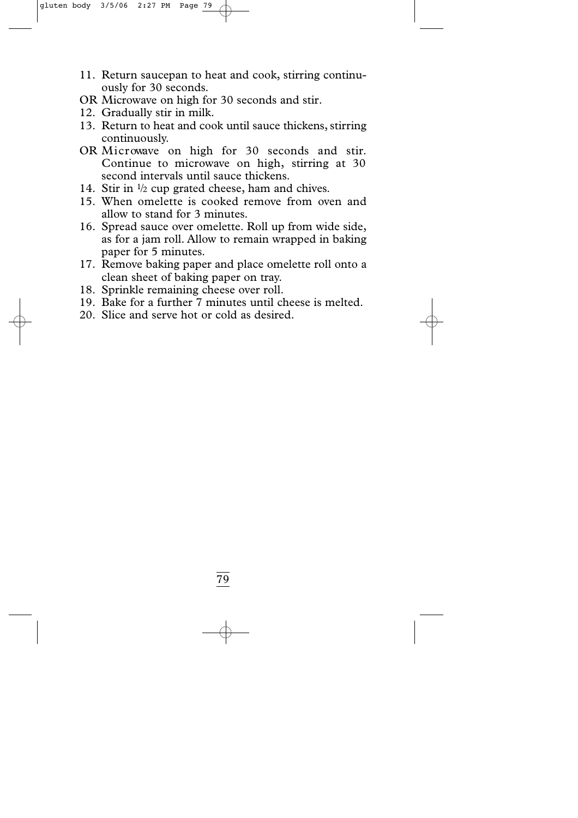- 11. Return saucepan to heat and cook, stirring continuously for 30 seconds.
- OR Microwave on high for 30 seconds and stir.
- 12. Gradually stir in milk.
- 13. Return to heat and cook until sauce thickens,stirring continuously.
- OR Microwave on high for 30 seconds and stir. Continue to microwave on high, stirring at 30 second intervals until sauce thickens.
- 14. Stir in  $\frac{1}{2}$  cup grated cheese, ham and chives.
- 15. When omelette is cooked remove from oven and allow to stand for 3 minutes.
- 16. Spread sauce over omelette. Roll up from wide side, as for a jam roll. Allow to remain wrapped in baking paper for 5 minutes.
- 17. Remove baking paper and place omelette roll onto a clean sheet of baking paper on tray.
- 18. Sprinkle remaining cheese over roll.
- 19. Bake for a further 7 minutes until cheese is melted.
- 20. Slice and serve hot or cold as desired.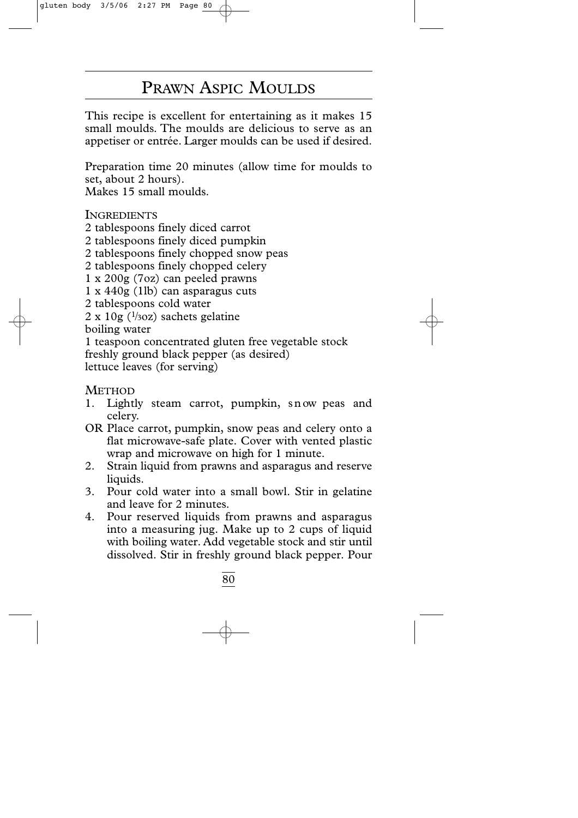## PRAWN ASPIC MOULDS

This recipe is excellent for entertaining as it makes 15 small moulds. The moulds are delicious to serve as an appetiser or entrée. Larger moulds can be used if desired.

Preparation time 20 minutes (allow time for moulds to set, about 2 hours).

Makes 15 small moulds.

**INGREDIENTS** 

- 2 tablespoons finely diced carrot
- 2 tablespoons finely diced pumpkin
- 2 tablespoons finely chopped snow peas
- 2 tablespoons finely chopped celery
- 1 x 200g (7oz) can peeled prawns
- 1 x 440g (1lb) can asparagus cuts
- 2 tablespoons cold water
- $2 \times 10$ g ( $\frac{1}{3}$ oz) sachets gelatine

boiling water

1 teaspoon concentrated gluten free vegetable stock freshly ground black pepper (as desired) lettuce leaves (for serving)

- 1. Lightly steam carrot, pumpkin, snow peas and celery.
- OR Place carrot, pumpkin, snow peas and celery onto a flat microwave-safe plate. Cover with vented plastic wrap and microwave on high for 1 minute.
- 2. Strain liquid from prawns and asparagus and reserve liquids.
- 3. Pour cold water into a small bowl. Stir in gelatine and leave for 2 minutes.
- 4. Pour reserved liquids from prawns and asparagus into a measuring jug. Make up to 2 cups of liquid with boiling water. Add vegetable stock and stir until dissolved. Stir in freshly ground black pepper. Pour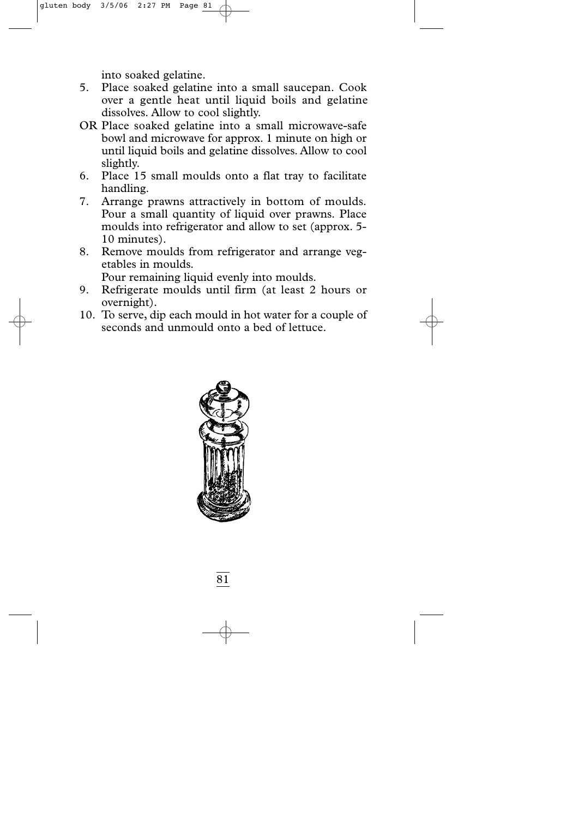into soaked gelatine.

- 5. Place soaked gelatine into a small saucepan. Cook over a gentle heat until liquid boils and gelatine dissolves. Allow to cool slightly.
- OR Place soaked gelatine into a small microwave-safe bowl and microwave for approx. 1 minute on high or until liquid boils and gelatine dissolves. Allow to cool slightly.
- 6. Place 15 small moulds onto a flat tray to facilitate handling.
- 7. Arrange prawns attractively in bottom of moulds. Pour a small quantity of liquid over prawns. Place moulds into refrigerator and allow to set (approx. 5- 10 minutes).
- 8. Remove moulds from refrigerator and arrange vegetables in moulds.

Pour remaining liquid evenly into moulds.

- 9. Refrigerate moulds until firm (at least 2 hours or overnight).
- 10. To serve, dip each mould in hot water for a couple of seconds and unmould onto a bed of lettuce.

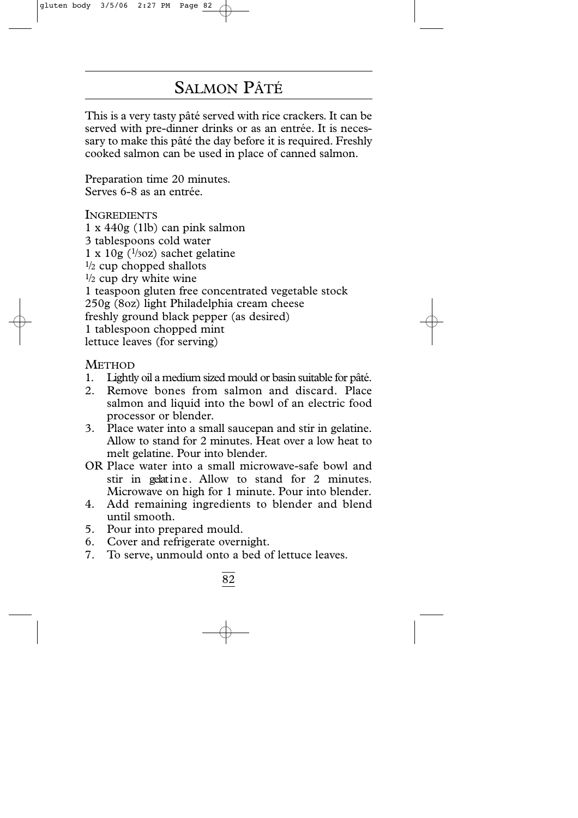# SALMON PÂTÉ

This is a very tasty pâté served with rice crackers. It can be served with pre-dinner drinks or as an entrée. It is necessary to make this pâté the day before it is required. Freshly cooked salmon can be used in place of canned salmon.

Preparation time 20 minutes. Serves 6-8 as an entrée.

**INGREDIENTS** 1 x 440g (1lb) can pink salmon 3 tablespoons cold water  $1 \times 10$ g ( $\frac{1}{3}$ oz) sachet gelatine  $\frac{1}{2}$  cup chopped shallots  $\frac{1}{2}$  cup dry white wine 1 teaspoon gluten free concentrated vegetable stock 250g (8oz) light Philadelphia cream cheese freshly ground black pepper (as desired) 1 tablespoon chopped mint lettuce leaves (for serving)

- 1 . Lightly oil a medium sized mould or basin suitable for pâté.
- 2. Remove bones from salmon and discard. Place salmon and liquid into the bowl of an electric food processor or blender.
- 3. Place water into a small saucepan and stir in gelatine. Allow to stand for 2 minutes. Heat over a low heat to melt gelatine. Pour into blender.
- OR Place water into a small microwave-safe bowl and stir in gelatine. Allow to stand for 2 minutes. Microwave on high for 1 minute. Pour into blender.
- 4. Add remaining ingredients to blender and blend until smooth.
- 5. Pour into prepared mould.
- 6. Cover and refrigerate overnight.
- 7. To serve, unmould onto a bed of lettuce leaves.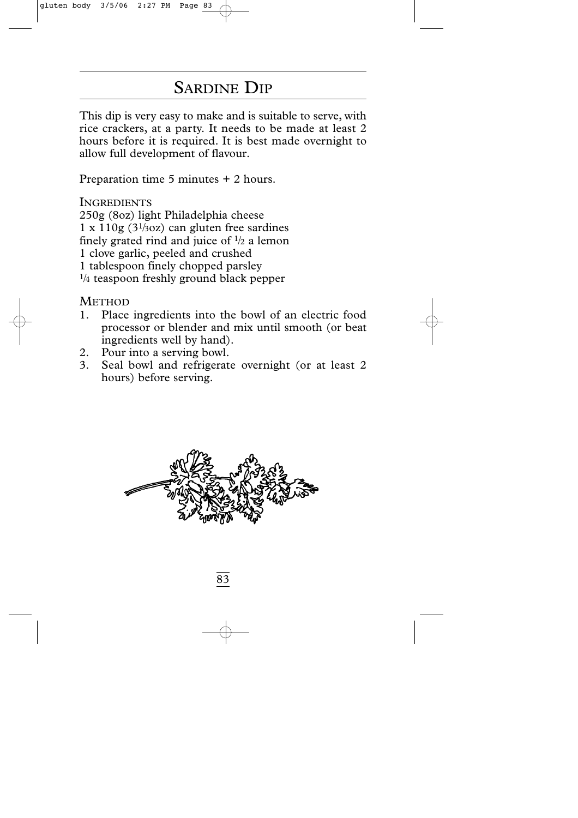## SARDINE DIP

This dip is very easy to make and is suitable to serve, with rice crackers, at a party. It needs to be made at least 2 hours before it is required. It is best made overnight to allow full development of flavour.

Preparation time 5 minutes + 2 hours.

**INGREDIENTS** 

250g (8oz) light Philadelphia cheese

 $1 \times 110$ g (3<sup>1</sup>/30z) can gluten free sardines

finely grated rind and juice of  $\frac{1}{2}$  a lemon

1 clove garlic, peeled and crushed

1 tablespoon finely chopped parsley

 $\frac{1}{4}$  teaspoon freshly ground black pepper

- 1. Place ingredients into the bowl of an electric food processor or blender and mix until smooth (or beat ingredients well by hand).
- 2. Pour into a serving bowl.
- 3. Seal bowl and refrigerate overnight (or at least 2 hours) before serving.

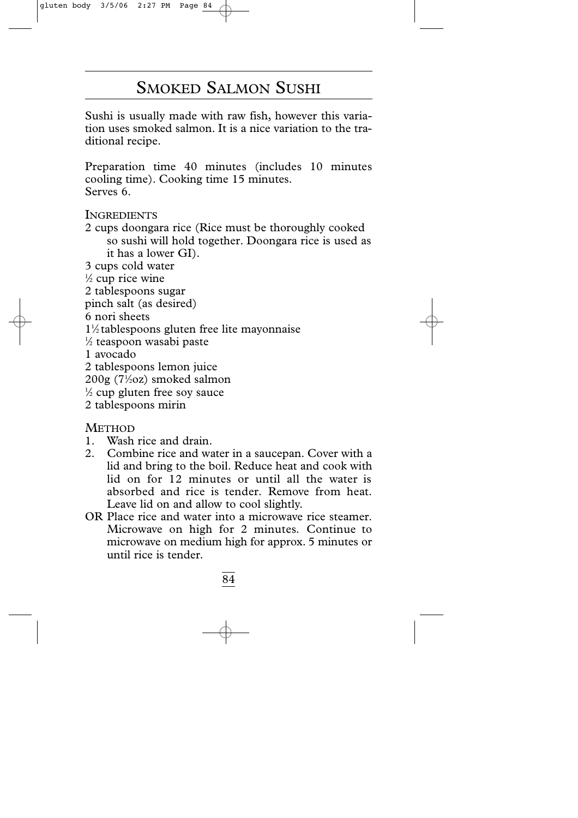## SMOKED SALMON SUSHI

Sushi is usually made with raw fish, however this variation uses smoked salmon. It is a nice variation to the traditional recipe.

Preparation time 40 minutes (includes 10 minutes cooling time). Cooking time 15 minutes. Serves 6.

**INGREDIENTS** 

- 2 cups doongara rice (Rice must be thoroughly cooked so sushi will hold together. Doongara rice is used as it has a lower GI).
- 3 cups cold water
- $\frac{1}{2}$  cup rice wine
- 2 tablespoons sugar
- pinch salt (as desired)
- 6 nori sheets
- 11 ⁄2 tablespoons gluten free lite mayonnaise
- 1 ⁄2 teaspoon wasabi paste
- 1 avocado
- 2 tablespoons lemon juice
- 200g (71 ⁄2oz) smoked salmon
- 1 ⁄2 cup gluten free soy sauce
- 2 tablespoons mirin

- 1. Wash rice and drain.
- 2. Combine rice and water in a saucepan. Cover with a lid and bring to the boil. Reduce heat and cook with lid on for 12 minutes or until all the water is absorbed and rice is tender. Remove from heat. Leave lid on and allow to cool slightly.
- OR Place rice and water into a microwave rice steamer. Microwave on high for 2 minutes. Continue to microwave on medium high for approx. 5 minutes or until rice is tender.